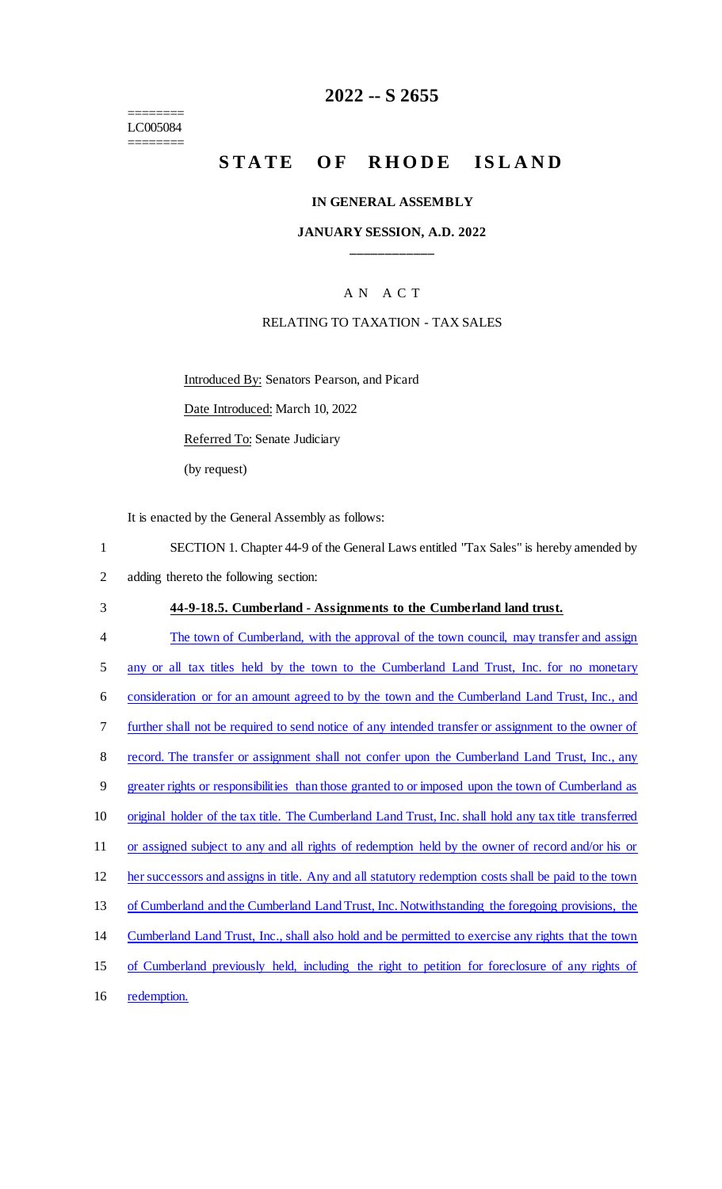======== LC005084 ========

# **2022 -- S 2655**

# **STATE OF RHODE ISLAND**

#### **IN GENERAL ASSEMBLY**

### **JANUARY SESSION, A.D. 2022 \_\_\_\_\_\_\_\_\_\_\_\_**

### A N A C T

### RELATING TO TAXATION - TAX SALES

Introduced By: Senators Pearson, and Picard

Date Introduced: March 10, 2022

Referred To: Senate Judiciary

(by request)

It is enacted by the General Assembly as follows:

1 SECTION 1. Chapter 44-9 of the General Laws entitled "Tax Sales" is hereby amended by 2 adding thereto the following section:

#### 3 **44-9-18.5. Cumberland - Assignments to the Cumberland land trust.**

4 The town of Cumberland, with the approval of the town council, may transfer and assign 5 any or all tax titles held by the town to the Cumberland Land Trust, Inc. for no monetary 6 consideration or for an amount agreed to by the town and the Cumberland Land Trust, Inc., and 7 further shall not be required to send notice of any intended transfer or assignment to the owner of 8 record. The transfer or assignment shall not confer upon the Cumberland Land Trust, Inc., any 9 greater rights or responsibilities than those granted to or imposed upon the town of Cumberland as 10 original holder of the tax title. The Cumberland Land Trust, Inc. shall hold any tax title transferred 11 or assigned subject to any and all rights of redemption held by the owner of record and/or his or 12 her successors and assigns in title. Any and all statutory redemption costs shall be paid to the town 13 of Cumberland and the Cumberland Land Trust, Inc. Notwithstanding the foregoing provisions, the 14 Cumberland Land Trust, Inc., shall also hold and be permitted to exercise any rights that the town 15 of Cumberland previously held, including the right to petition for foreclosure of any rights of

16 redemption.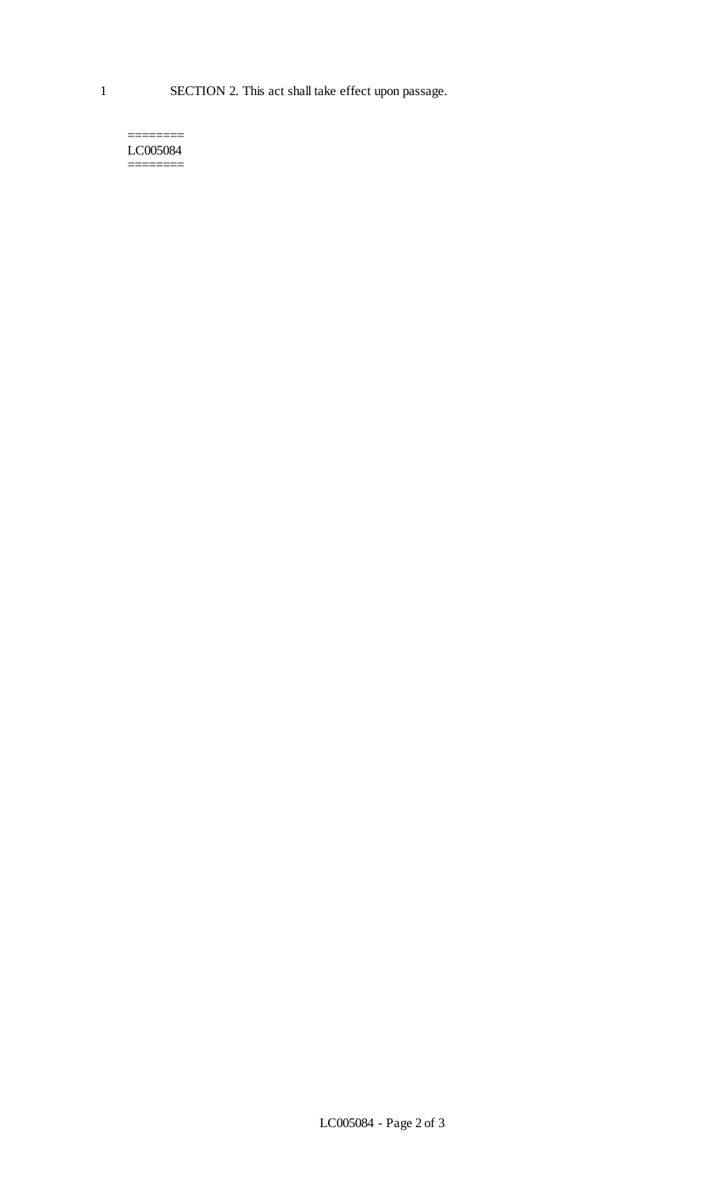1 SECTION 2. This act shall take effect upon passage.

======== LC005084 ========